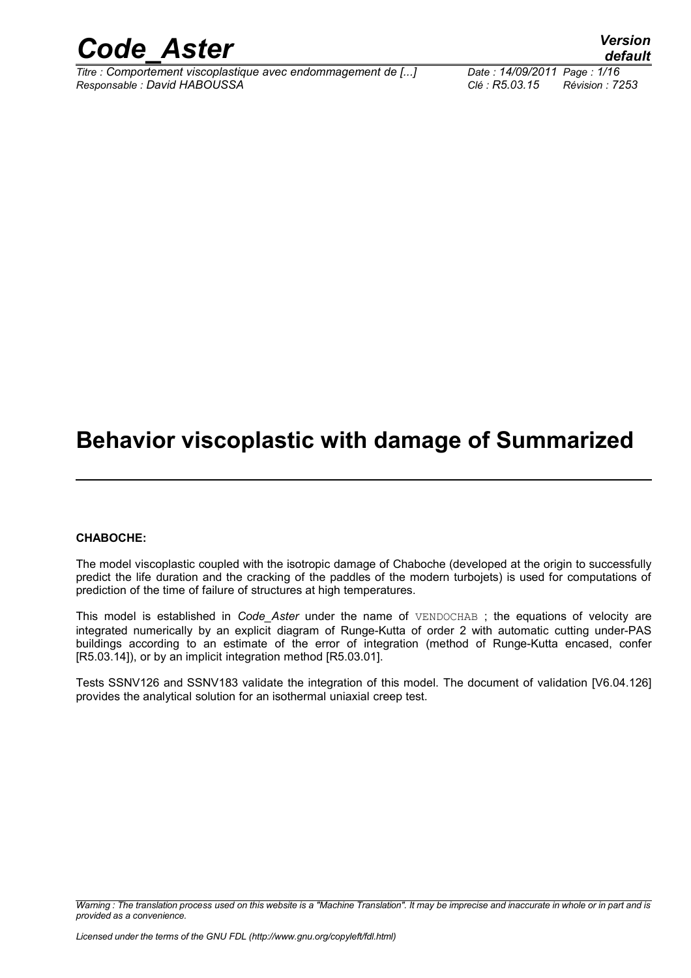

*Titre : Comportement viscoplastique avec endommagement de [...] Date : 14/09/2011 Page : 1/16 Responsable : David HABOUSSA Clé : R5.03.15 Révision : 7253*

*default*

### **Behavior viscoplastic with damage of Summarized**

#### **CHABOCHE:**

The model viscoplastic coupled with the isotropic damage of Chaboche (developed at the origin to successfully predict the life duration and the cracking of the paddles of the modern turbojets) is used for computations of prediction of the time of failure of structures at high temperatures.

This model is established in *Code\_Aster* under the name of VENDOCHAB ; the equations of velocity are integrated numerically by an explicit diagram of Runge-Kutta of order 2 with automatic cutting under-PAS buildings according to an estimate of the error of integration (method of Runge-Kutta encased, confer [R5.03.14]), or by an implicit integration method [R5.03.01].

Tests SSNV126 and SSNV183 validate the integration of this model. The document of validation [V6.04.126] provides the analytical solution for an isothermal uniaxial creep test.

*Warning : The translation process used on this website is a "Machine Translation". It may be imprecise and inaccurate in whole or in part and is provided as a convenience.*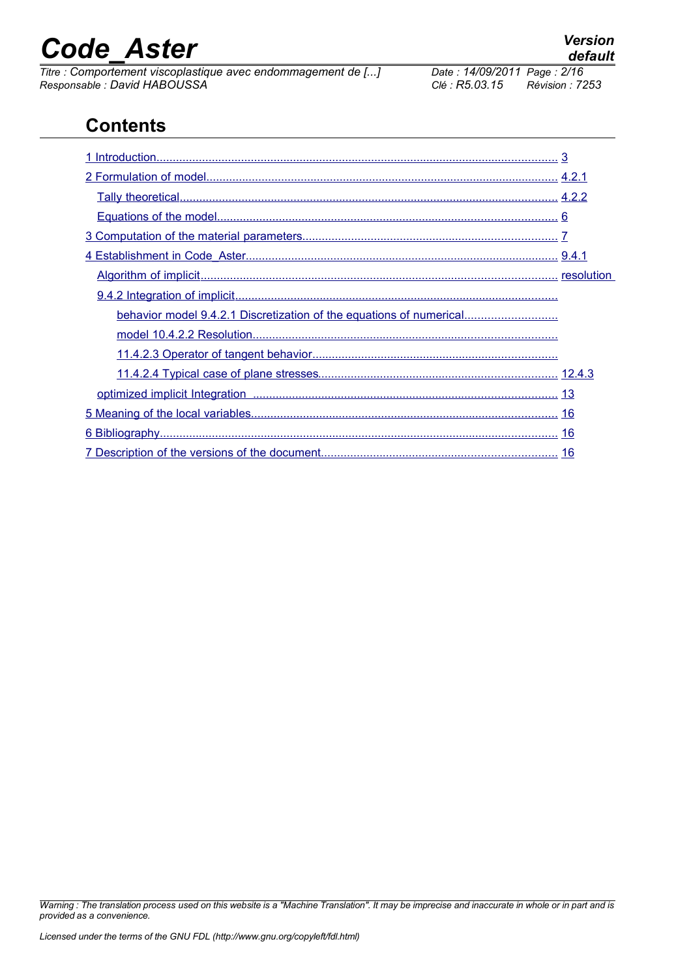*Titre : Comportement viscoplastique avec endommagement de [...] Date : 14/09/2011 Page : David HABOUSSA Clé : R5.03.15 Responsable : David HABOUSSA Clé : R5.03.15 Révision : 7253*

### **Contents**

| behavior model 9.4.2.1 Discretization of the equations of numerical |  |
|---------------------------------------------------------------------|--|
|                                                                     |  |
|                                                                     |  |
|                                                                     |  |
|                                                                     |  |
|                                                                     |  |
|                                                                     |  |
|                                                                     |  |

*Warning : The translation process used on this website is a "Machine Translation". It may be imprecise and inaccurate in whole or in part and is provided as a convenience.*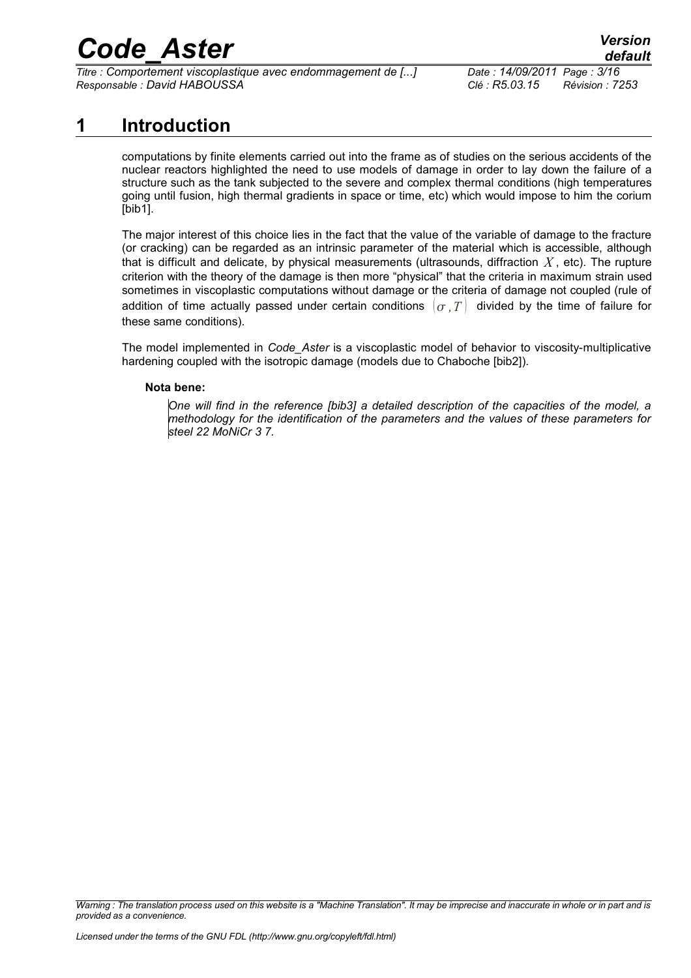*Titre : Comportement viscoplastique avec endommagement de [...] Date : 14/09/2011 Page : 3/16 Responsable : David HABOUSSA Clé : R5.03.15 Révision : 7253*

### **1 Introduction**

<span id="page-2-0"></span>computations by finite elements carried out into the frame as of studies on the serious accidents of the nuclear reactors highlighted the need to use models of damage in order to lay down the failure of a structure such as the tank subjected to the severe and complex thermal conditions (high temperatures going until fusion, high thermal gradients in space or time, etc) which would impose to him the corium [bib1].

The major interest of this choice lies in the fact that the value of the variable of damage to the fracture (or cracking) can be regarded as an intrinsic parameter of the material which is accessible, although that is difficult and delicate, by physical measurements (ultrasounds, diffraction *X* , etc). The rupture criterion with the theory of the damage is then more "physical" that the criteria in maximum strain used sometimes in viscoplastic computations without damage or the criteria of damage not coupled (rule of addition of time actually passed under certain conditions  $\sigma$ , T divided by the time of failure for these same conditions).

The model implemented in *Code\_Aster* is a viscoplastic model of behavior to viscosity-multiplicative hardening coupled with the isotropic damage (models due to Chaboche [bib2]).

#### **Nota bene:**

*One will find in the reference [bib3] a detailed description of the capacities of the model, a methodology for the identification of the parameters and the values of these parameters for steel 22 MoNiCr 3 7.*

*Warning : The translation process used on this website is a "Machine Translation". It may be imprecise and inaccurate in whole or in part and is provided as a convenience.*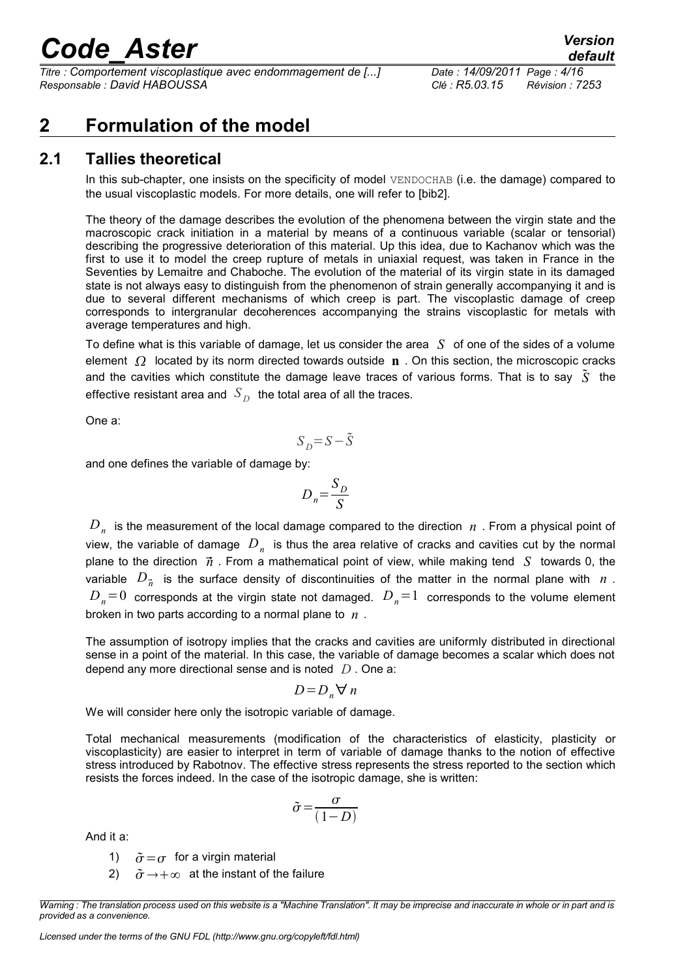*Titre : Comportement viscoplastique avec endommagement de [...] Date : 14/09/2011 Page : 4/16 Responsable : David HABOUSSA Clé : R5.03.15 Révision : 7253*

### <span id="page-3-1"></span>**2 Formulation of the model**

#### **2.1 Tallies theoretical**

<span id="page-3-0"></span>In this sub-chapter, one insists on the specificity of model VENDOCHAB (i.e. the damage) compared to the usual viscoplastic models. For more details, one will refer to [bib2].

The theory of the damage describes the evolution of the phenomena between the virgin state and the macroscopic crack initiation in a material by means of a continuous variable (scalar or tensorial) describing the progressive deterioration of this material. Up this idea, due to Kachanov which was the first to use it to model the creep rupture of metals in uniaxial request, was taken in France in the Seventies by Lemaitre and Chaboche. The evolution of the material of its virgin state in its damaged state is not always easy to distinguish from the phenomenon of strain generally accompanying it and is due to several different mechanisms of which creep is part. The viscoplastic damage of creep corresponds to intergranular decoherences accompanying the strains viscoplastic for metals with average temperatures and high.

To define what is this variable of damage, let us consider the area *S* of one of the sides of a volume element  $\Omega$  located by its norm directed towards outside **n** . On this section, the microscopic cracks and the cavities which constitute the damage leave traces of various forms. That is to say  $\tilde{S}$  the effective resistant area and  $\,S_{\,D}\,$  the total area of all the traces.

One a:

$$
S_D\!\!=\!S\!-\!\tilde{S}
$$

and one defines the variable of damage by:

$$
D_n = \frac{S_D}{S}
$$

 $D_{n}^{\phantom{\dag}}$  is the measurement of the local damage compared to the direction  $\phantom{\dag}n$  . From a physical point of view, the variable of damage  $\,D_{\,n}\,$  is thus the area relative of cracks and cavities cut by the normal plane to the direction  $\vec{n}$ . From a mathematical point of view, while making tend *S* towards 0, the variable  $D_{\vec{n}}$  is the surface density of discontinuities of the matter in the normal plane with  $n$  .  $D_n=0$  corresponds at the virgin state not damaged.  $D_n=1$  corresponds to the volume element broken in two parts according to a normal plane to *n* .

The assumption of isotropy implies that the cracks and cavities are uniformly distributed in directional sense in a point of the material. In this case, the variable of damage becomes a scalar which does not depend any more directional sense and is noted *D* . One a:

$$
D = D_n \forall n
$$

We will consider here only the isotropic variable of damage.

Total mechanical measurements (modification of the characteristics of elasticity, plasticity or viscoplasticity) are easier to interpret in term of variable of damage thanks to the notion of effective stress introduced by Rabotnov. The effective stress represents the stress reported to the section which resists the forces indeed. In the case of the isotropic damage, she is written:

$$
\tilde{\sigma} = \frac{\sigma}{(1 - D)}
$$

And it a:

- 1)  $\tilde{\sigma} = \sigma$  for a virgin material
- 2)  $\tilde{\sigma} \rightarrow +\infty$  at the instant of the failure

*Warning : The translation process used on this website is a "Machine Translation". It may be imprecise and inaccurate in whole or in part and is provided as a convenience.*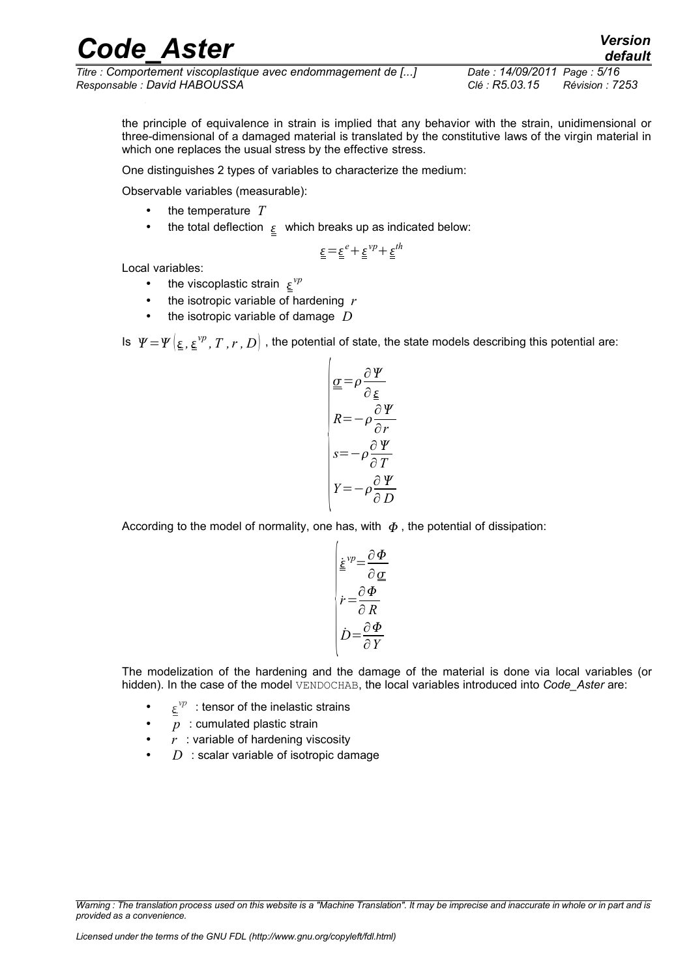*Titre : Comportement viscoplastique avec endommagement de [...] Date : 14/09/2011 Page : 5/16 Responsable : David HABOUSSA Clé : R5.03.15 Révision : 7253*

*default*

the principle of equivalence in strain is implied that any behavior with the strain, unidimensional or three-dimensional of a damaged material is translated by the constitutive laws of the virgin material in which one replaces the usual stress by the effective stress.

One distinguishes 2 types of variables to characterize the medium:

Observable variables (measurable):

- the temperature *T*
- the total deflection  $\epsilon$  which breaks up as indicated below:

$$
\underline{\underline{\epsilon}} = \underline{\underline{\epsilon}}^e + \underline{\underline{\epsilon}}^{vp} + \underline{\underline{\epsilon}}^{th}
$$

Local variables:

- the viscoplastic strain  $\underline{\varepsilon}^{\nu p}$
- the isotropic variable of hardening *r*
- the isotropic variable of damage *D*

Is  $| \varphi = \psi\big|_{\underline{\epsilon}}$  ,  ${}_{\underline{\epsilon}}\varphi^p$  ,  $T$  ,  $r$  ,  $D\big|$  , the potential of state, the state models describing this potential are:

$$
\begin{cases}\n\underline{\underline{\underline{\sigma}}} = \rho \frac{\partial \underline{\underline{\gamma}}}{\partial \underline{\underline{\epsilon}}} \\
R = -\rho \frac{\partial \underline{\underline{\gamma}}}{\partial r} \\
s = -\rho \frac{\partial \underline{\underline{\gamma}}}{\partial T} \\
Y = -\rho \frac{\partial \underline{\underline{\gamma}}}{\partial D}\n\end{cases}
$$

According to the model of normality, one has, with  $\Phi$ , the potential of dissipation:

$$
\begin{vmatrix} \underline{\dot{\underline{\xi}}}^{vp} = \frac{\partial \Phi}{\partial \underline{\underline{\alpha}}} \\ \dot{r} = \frac{\partial \Phi}{\partial R} \\ \dot{D} = \frac{\partial \Phi}{\partial Y} \end{vmatrix}
$$

The modelization of the hardening and the damage of the material is done via local variables (or hidden). In the case of the model VENDOCHAB, the local variables introduced into *Code* Aster are:

- $\underline{\varepsilon}^{\nu p}$  : tensor of the inelastic strains
- p : cumulated plastic strain
- $r$  : variable of hardening viscosity
- $D$  : scalar variable of isotropic damage

*Warning : The translation process used on this website is a "Machine Translation". It may be imprecise and inaccurate in whole or in part and is provided as a convenience.*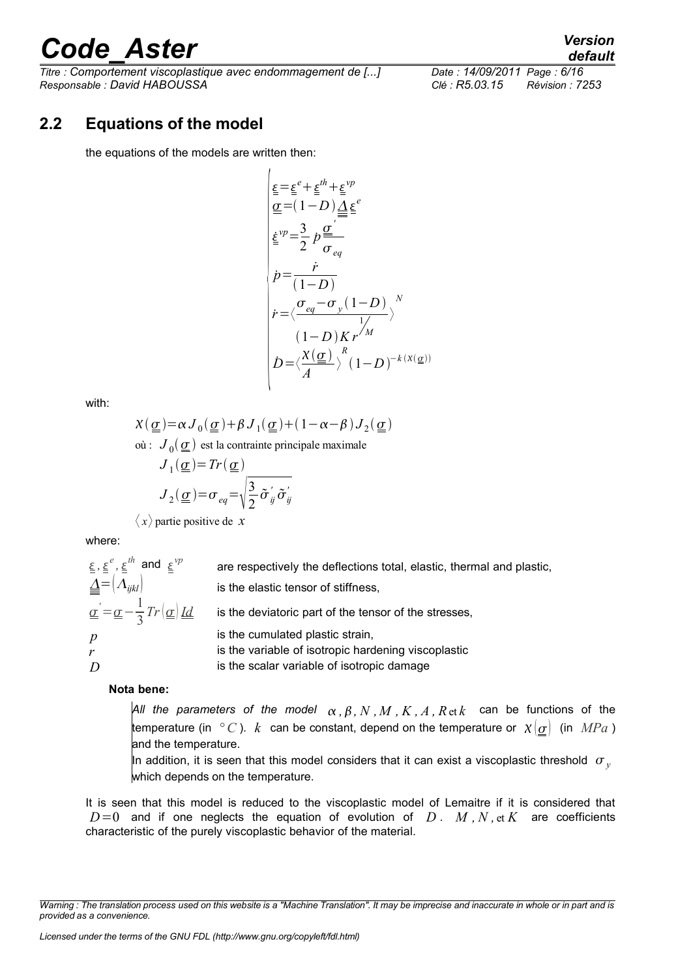*Titre : Comportement viscoplastique avec endommagement de [...] Date : 14/09/2011 Page : 6/16 Responsable : David HABOUSSA Clé : R5.03.15 Révision : 7253*

#### **2.2 Equations of the model**

<span id="page-5-0"></span>the equations of the models are written then:

$$
\begin{cases}\n\underline{\varepsilon} = \underline{\varepsilon}^e + \underline{\varepsilon}^{th} + \underline{\varepsilon}^{vp} \\
\underline{\alpha} = (1 - D) \underline{\underline{\Delta}} \underline{\varepsilon}^e \\
\underline{\varepsilon}^{vp} = \frac{3}{2} p \frac{\underline{\alpha}^r}{\sigma_{eq}} \\
\dot{p} = \frac{\dot{r}}{(1 - D)} \\
\dot{r} = \langle \frac{\sigma_{eq} - \sigma_y (1 - D)}{1 / \sqrt{\varepsilon}} \rangle^N \\
(1 - D) K r^{fM} \\
\dot{D} = \langle \frac{\chi(\underline{\alpha})^R}{A} \rangle (1 - D)^{-k(\chi(\underline{\alpha}))}\n\end{cases}
$$

with:

$$
\chi(\underline{\underline{\sigma}}) = \alpha J_0(\underline{\underline{\sigma}}) + \beta J_1(\underline{\underline{\sigma}}) + (1 - \alpha - \beta) J_2(\underline{\underline{\sigma}})
$$
  
ooi:  $J_0(\underline{\underline{\sigma}})$  est la contrainte principale maximale  
 $J_1(\underline{\underline{\sigma}}) = Tr(\underline{\underline{\sigma}})$   
 $J_2(\underline{\underline{\sigma}}) = \sigma_{eq} = \sqrt{\frac{3}{2} \tilde{\sigma}_{ij} \tilde{\sigma}_{ij}}$ 

 $\langle x \rangle$  partie positive de *x* 

where:

| $\underline{\varepsilon}$ , $\underline{\varepsilon}^e$ , $\underline{\varepsilon}^{th}$ and $\underline{\varepsilon}^{vp}$                    | are respectively the deflections total, elastic, thermal and plastic, |
|------------------------------------------------------------------------------------------------------------------------------------------------|-----------------------------------------------------------------------|
| $\mathbf{A} = \left[ \Lambda_{ijkl} \right]$                                                                                                   | is the elastic tensor of stiffness,                                   |
| $\underline{\underline{\sigma}}' = \underline{\underline{\sigma}} - \frac{1}{3} Tr(\underline{\underline{\sigma}}) \underline{\underline{Id}}$ | is the deviatoric part of the tensor of the stresses,                 |
| p                                                                                                                                              | is the cumulated plastic strain,                                      |
|                                                                                                                                                | is the variable of isotropic hardening viscoplastic                   |
|                                                                                                                                                | is the scalar variable of isotropic damage                            |

#### **Nota bene:**

*All the parameters of the model*  $\alpha$ ,  $\beta$ ,  $N$ ,  $M$ ,  $K$ ,  $A$ ,  $R$  et  $k$  can be functions of the temperature (in  $\degree C$ ). *k* can be constant, depend on the temperature or  $\chi(\sigma)$  (in *MPa*) and the temperature.

In addition, it is seen that this model considers that it can exist a viscoplastic threshold  $\sigma_{v}$ which depends on the temperature.

It is seen that this model is reduced to the viscoplastic model of Lemaitre if it is considered that  $D=0$  and if one neglects the equation of evolution of *D*. *M*, *N*, et *K* are coefficients characteristic of the purely viscoplastic behavior of the material.

*Warning : The translation process used on this website is a "Machine Translation". It may be imprecise and inaccurate in whole or in part and is provided as a convenience.*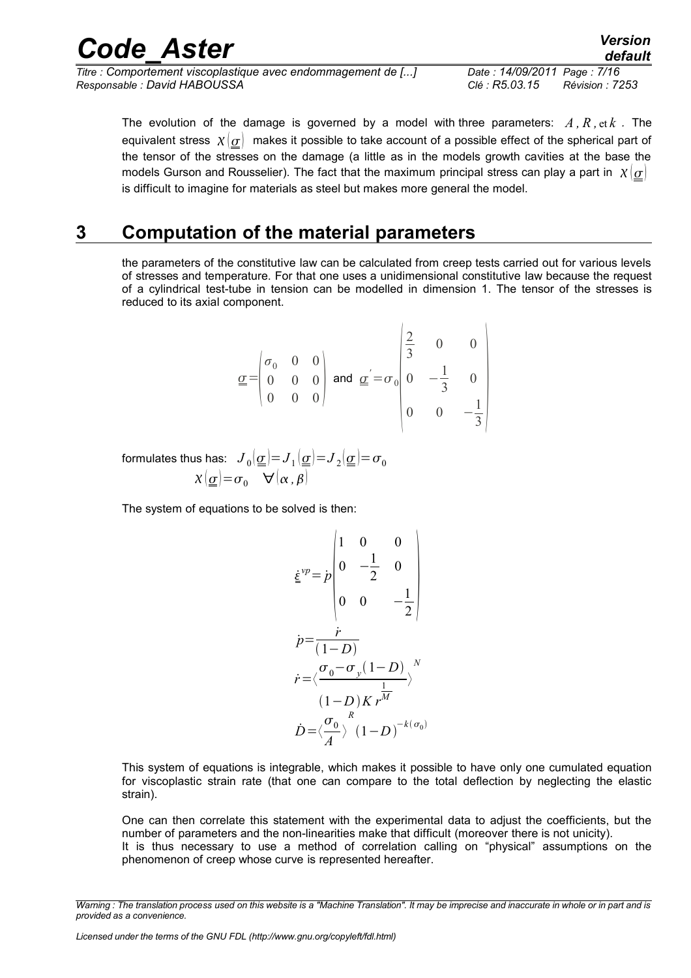| <b>Code Aster</b>                                            | <b>Version</b><br>default                |
|--------------------------------------------------------------|------------------------------------------|
| Titre : Comportement viscoplastique avec endommagement de [] | Date: 14/09/2011 Page: 7/16              |
| Responsable : David HABOUSSA                                 | Clé : R5.03.15<br><b>Révision : 7253</b> |

The evolution of the damage is governed by a model with three parameters:  $A, R, \text{et } k$ . The equivalent stress  $x(\sigma)$  makes it possible to take account of a possible effect of the spherical part of the tensor of the stresses on the damage (a little as in the models growth cavities at the base the models Gurson and Rousselier). The fact that the maximum principal stress can play a part in  $\chi(\sigma)$ is difficult to imagine for materials as steel but makes more general the model.

### **3 Computation of the material parameters**

<span id="page-6-0"></span>the parameters of the constitutive law can be calculated from creep tests carried out for various levels of stresses and temperature. For that one uses a unidimensional constitutive law because the request of a cylindrical test-tube in tension can be modelled in dimension 1. The tensor of the stresses is reduced to its axial component.

$$
\underline{\underline{\sigma}} = \begin{pmatrix} \sigma_0 & 0 & 0 \\ 0 & 0 & 0 \\ 0 & 0 & 0 \end{pmatrix} \text{ and } \underline{\underline{\sigma}}' = \sigma_0 \begin{pmatrix} \frac{2}{3} & 0 & 0 \\ 0 & -\frac{1}{3} & 0 \\ 0 & 0 & -\frac{1}{3} \end{pmatrix}
$$

formulates thus has:  $\,\,J_{\,0}[\,\underline{\underline{\sigma}}\,]\!\!=\!J_{\,1}[\,\underline{\underline{\sigma}}\,]\!\!=\!\!J_{\,2}[\,\underline{\underline{\sigma}}\,]\!\!=\!\sigma_{0}$  $\chi(\underline{\sigma}) = \sigma_0 \quad \forall (\alpha, \beta)$ 

The system of equations to be solved is then:

$$
\underline{\dot{\xi}}^{vp} = p \begin{pmatrix} 1 & 0 & 0 \\ 0 & -\frac{1}{2} & 0 \\ 0 & 0 & -\frac{1}{2} \end{pmatrix}
$$

$$
\dot{p} = \frac{\dot{r}}{(1-D)}
$$

$$
\dot{r} = \langle \frac{\sigma_0 - \sigma_y (1-D)}{\langle 1 - D \rangle K} \frac{\frac{1}{M}}{\langle 1 - D \rangle^{k(\sigma_0)}}
$$

$$
\dot{D} = \langle \frac{\sigma_0}{A} \rangle (1-D)^{-k(\sigma_0)}
$$

This system of equations is integrable, which makes it possible to have only one cumulated equation for viscoplastic strain rate (that one can compare to the total deflection by neglecting the elastic strain).

One can then correlate this statement with the experimental data to adjust the coefficients, but the number of parameters and the non-linearities make that difficult (moreover there is not unicity). It is thus necessary to use a method of correlation calling on "physical" assumptions on the phenomenon of creep whose curve is represented hereafter.

*Warning : The translation process used on this website is a "Machine Translation". It may be imprecise and inaccurate in whole or in part and is provided as a convenience.*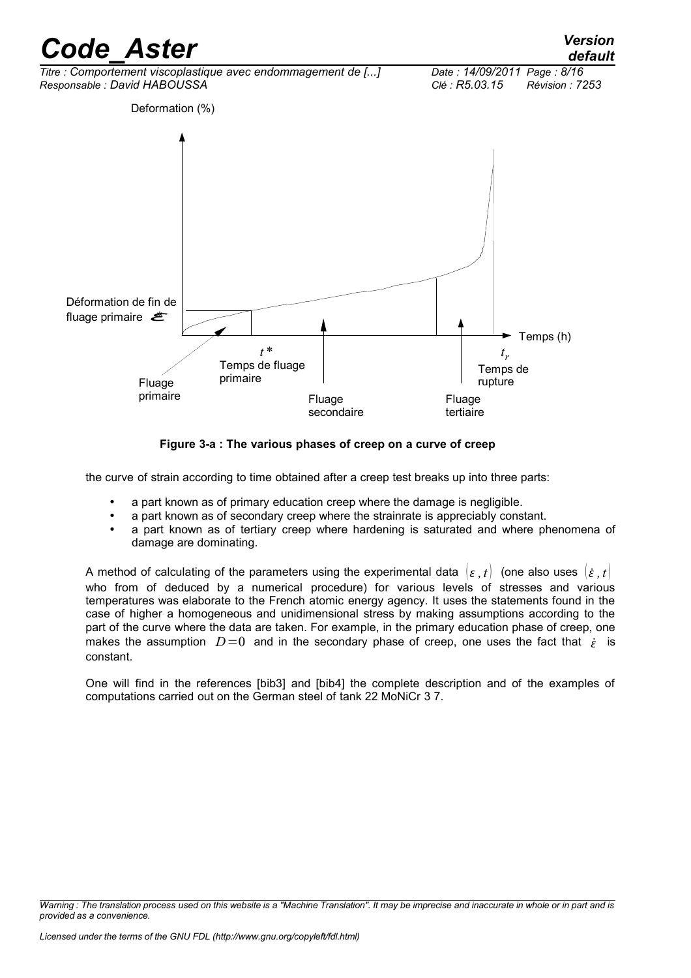

**Figure 3-a : The various phases of creep on a curve of creep**

the curve of strain according to time obtained after a creep test breaks up into three parts:

- a part known as of primary education creep where the damage is negligible.
- a part known as of secondary creep where the strainrate is appreciably constant.
- a part known as of tertiary creep where hardening is saturated and where phenomena of damage are dominating.

A method of calculating of the parameters using the experimental data  $\{ \varepsilon, t \}$  (one also uses  $\{ \varepsilon, t \}$ ) who from of deduced by a numerical procedure) for various levels of stresses and various temperatures was elaborate to the French atomic energy agency. It uses the statements found in the case of higher a homogeneous and unidimensional stress by making assumptions according to the part of the curve where the data are taken. For example, in the primary education phase of creep, one makes the assumption  $D=0$  and in the secondary phase of creep, one uses the fact that  $\dot{\varepsilon}$  is constant.

One will find in the references [bib3] and [bib4] the complete description and of the examples of computations carried out on the German steel of tank 22 MoNiCr 3 7.

*Warning : The translation process used on this website is a "Machine Translation". It may be imprecise and inaccurate in whole or in part and is provided as a convenience.*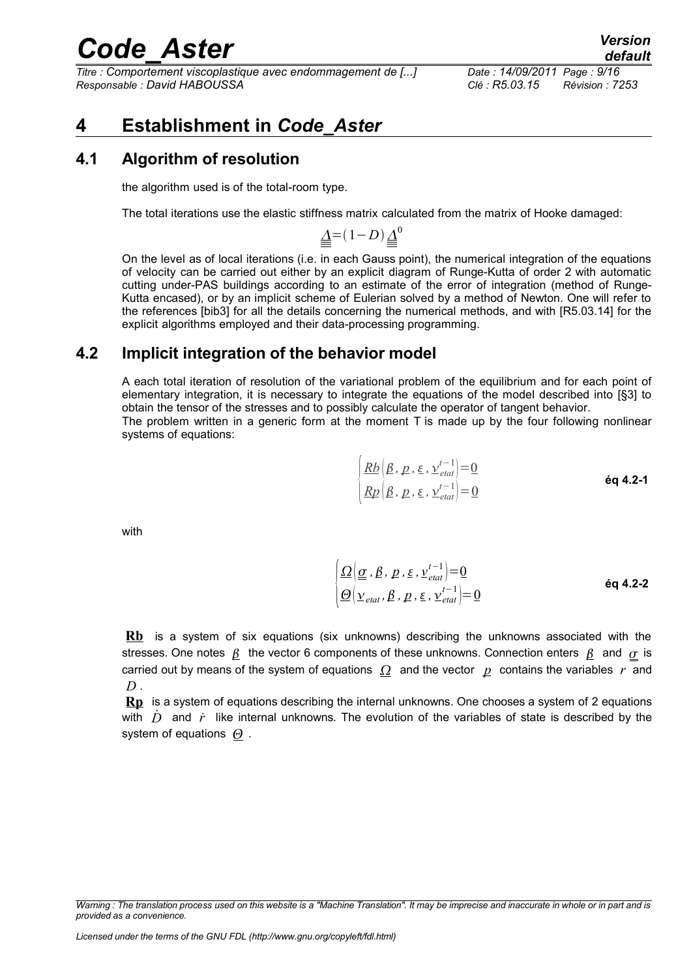*Titre : Comportement viscoplastique avec endommagement de [...] Date : 14/09/2011 Page : 9/16 Responsable : David HABOUSSA Clé : R5.03.15 Révision : 7253*

### <span id="page-8-2"></span>**4 Establishment in** *Code\_Aster*

#### **4.1 Algorithm of resolution**

<span id="page-8-1"></span>the algorithm used is of the total-room type.

The total iterations use the elastic stiffness matrix calculated from the matrix of Hooke damaged:

 $\underline{\Delta}$  =  $(1-D)\underline{\Delta}^0$ 

On the level as of local iterations (i.e. in each Gauss point), the numerical integration of the equations of velocity can be carried out either by an explicit diagram of Runge-Kutta of order 2 with automatic cutting under-PAS buildings according to an estimate of the error of integration (method of Runge-Kutta encased), or by an implicit scheme of Eulerian solved by a method of Newton. One will refer to the references [bib3] for all the details concerning the numerical methods, and with [R5.03.14] for the explicit algorithms employed and their data-processing programming.

#### **4.2 Implicit integration of the behavior model**

<span id="page-8-0"></span>A each total iteration of resolution of the variational problem of the equilibrium and for each point of elementary integration, it is necessary to integrate the equations of the model described into [§3] to obtain the tensor of the stresses and to possibly calculate the operator of tangent behavior. The problem written in a generic form at the moment  $T$  is made up by the four following nonlinear systems of equations:

> $|R_l$  $\frac{Rb\left(\beta, p, \varepsilon, \frac{\nu^{t-1}}{e^{t}}\right] = 0}$  $\mathit{Rp}\left(\beta,\,p\,,\varepsilon\,,\,\nu_{\mathit{etat}}^{t-1}\right]\!=\!0$ **éq 4.2-1**

with

 $\left| \frac{\Theta \big(\nu_{\mathit{etat}}, \beta, p, \varepsilon, \nu_{\mathit{etat}}^{\mathit{t-1}} \big) {=} 0 \right|$  $\Omega\big(\underline{\underline{\sigma}}$  ,  $\beta$  ,  $\underline{p}$  ,  $\underline{\epsilon}$  ,  $\underline{v}^{t-1}_{\textit{etat}}\bigl)=\underline{0}$ **éq 4.2-2**

**Rb** is a system of six equations (six unknowns) describing the unknowns associated with the stresses. One notes  $\beta$  the vector 6 components of these unknowns. Connection enters  $\beta$  and  $\sigma$  is carried out by means of the system of equations  $\Omega$  and the vector  $p$  contains the variables  $r$  and *D* .

**Rp** is a system of equations describing the internal unknowns. One chooses a system of 2 equations with  $\dot{D}$  and  $\dot{r}$  like internal unknowns. The evolution of the variables of state is described by the system of equations  $\Theta$ .

*Warning : The translation process used on this website is a "Machine Translation". It may be imprecise and inaccurate in whole or in part and is provided as a convenience.*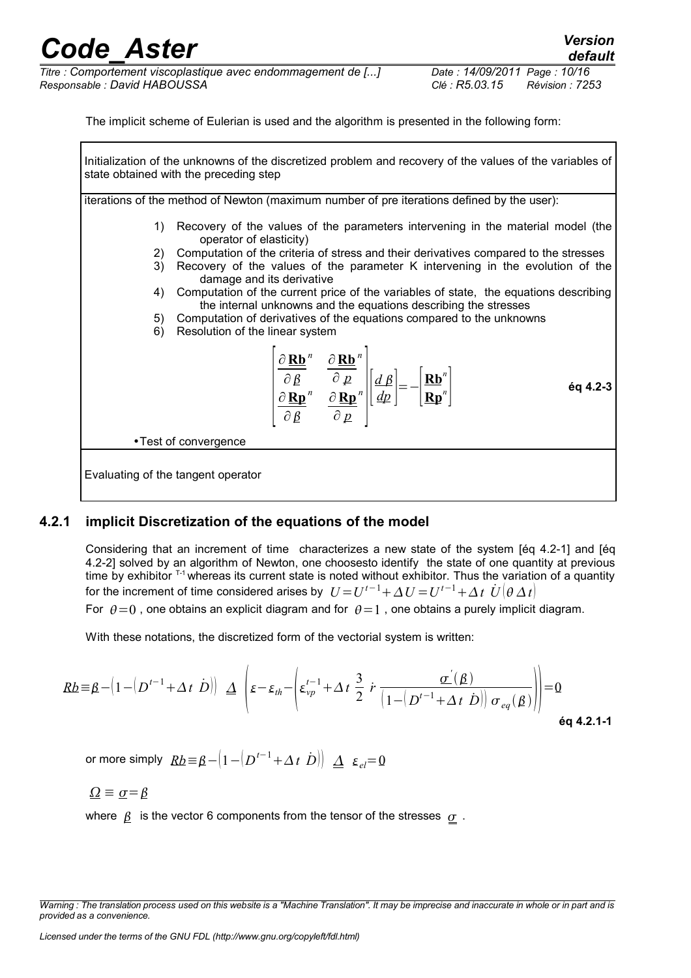*Titre : Comportement viscoplastique avec endommagement de [...] Date : 14/09/2011 Page : 10/16 Responsable : David HABOUSSA Clé : R5.03.15 Révision : 7253*

The implicit scheme of Eulerian is used and the algorithm is presented in the following form:

Initialization of the unknowns of the discretized problem and recovery of the values of the variables of state obtained with the preceding step

iterations of the method of Newton (maximum number of pre iterations defined by the user):

- 1) Recovery of the values of the parameters intervening in the material model (the operator of elasticity)
- 2) Computation of the criteria of stress and their derivatives compared to the stresses
- 3) Recovery of the values of the parameter K intervening in the evolution of the damage and its derivative
- 4) Computation of the current price of the variables of state, the equations describing the internal unknowns and the equations describing the stresses
- 5) Computation of derivatives of the equations compared to the unknowns
- 6) Resolution of the linear system

$$
\begin{bmatrix}\n\frac{\partial \mathbf{R}\mathbf{b}}{\partial \beta}^{n} & \frac{\partial \mathbf{R}\mathbf{b}}{\partial p}^{n} \\
\frac{\partial \mathbf{R}\mathbf{p}}{\partial \beta}^{n} & \frac{\partial \mathbf{R}\mathbf{p}}{\partial p}^{n}\n\end{bmatrix}\n\begin{bmatrix}\nd \beta \\
d p\n\end{bmatrix} = -\begin{bmatrix}\n\mathbf{R}\mathbf{b}^{n} \\
\mathbf{R}\mathbf{p}^{n}\n\end{bmatrix}
$$
\n6q 4.2-3

•Test of convergence

Evaluating of the tangent operator

#### **4.2.1 implicit Discretization of the equations of the model**

<span id="page-9-0"></span>Considering that an increment of time characterizes a new state of the system [éq 4.2-1] and [éq 4.2-2] solved by an algorithm of Newton, one choosesto identify the state of one quantity at previous time by exhibitor  $T-1$  whereas its current state is noted without exhibitor. Thus the variation of a quantity for the increment of time considered arises by  $U\!=\!U^{t-1}\!+\!\Delta\,U\!=\!U^{t-1}\!+\!\Delta\,t\,\,\dot{U}[\theta\,\Delta\,t]$ For  $\theta=0$ , one obtains an explicit diagram and for  $\theta=1$ , one obtains a purely implicit diagram.

With these notations, the discretized form of the vectorial system is written:

$$
Rb \equiv \beta - \left(1 - \left(D^{t-1} + \Delta t \, \dot{D}\right)\right) \, \underline{\Delta} \, \left(\varepsilon - \varepsilon_{th} - \left(\varepsilon_{vp}^{t-1} + \Delta t \, \frac{3}{2} \, \dot{r} \, \frac{\underline{\sigma}'(\beta)}{\left(1 - \left(D^{t-1} + \Delta t \, \dot{D}\right)\right) \, \sigma_{eq}(\beta)}\right)\right) = 0
$$
\néq 4.2.1-1

 $\sigma$  more simply  $R\underline{b} \!\equiv\! \beta \!-\!\! \left(1\!-\!\!\left(D^{t-1}\!+\!\varDelta\,t\right.\left.\dot{D}\right)\right|\;\underline{\varDelta}\;\;\varepsilon_{el} \!\!=\! 0$ 

 $\Omega \equiv \sigma = \beta$ 

where  $\beta$  is the vector 6 components from the tensor of the stresses  $\sigma$ .

*Warning : The translation process used on this website is a "Machine Translation". It may be imprecise and inaccurate in whole or in part and is provided as a convenience.*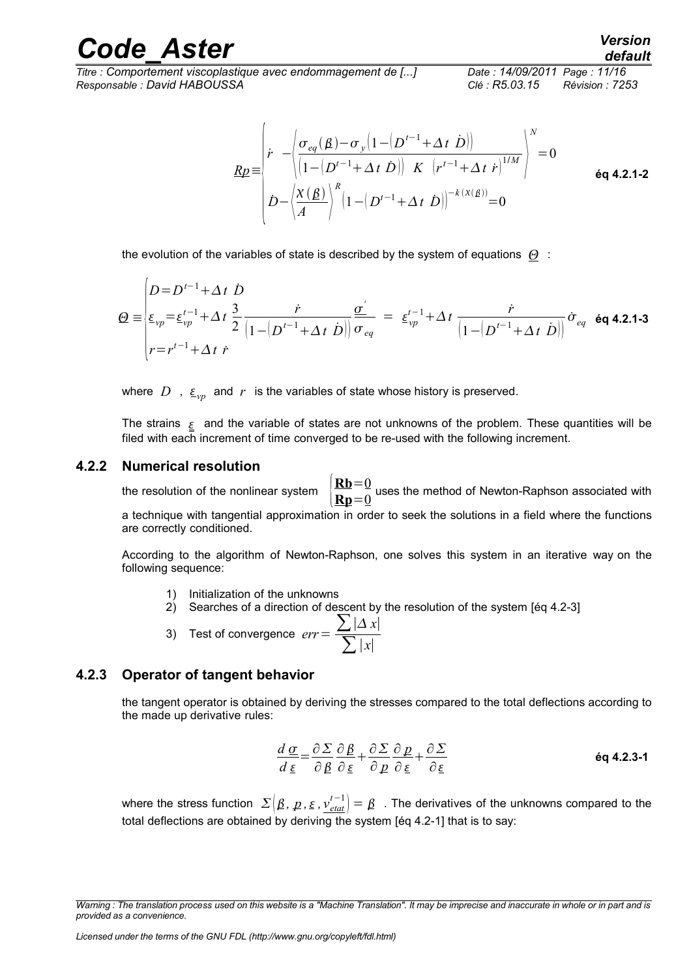*Titre : Comportement viscoplastique avec endommagement de [...] Date : 14/09/2011 Page : 11/16 Responsable : David HABOUSSA Clé : R5.03.15 Révision : 7253*

$$
Rp = \begin{pmatrix} \dot{r} & -\left| \frac{\sigma_{eq}(\beta) - \sigma_y \left( 1 - \left( D^{t-1} + \Delta t \right) \dot{D} \right)}{\left( 1 - \left( D^{t-1} + \Delta t \right) \dot{D} \right)} \right| \, K & \left( r^{t-1} + \Delta t \, \dot{r} \right)^{1/M} \\ \dot{D} - \left| \frac{\chi(\beta)}{A} \right|^R \left( 1 - \left( D^{t-1} + \Delta t \, \dot{D} \right) \right)^{-k(X(\beta))} = 0 \end{pmatrix} \tag{6q 4.2.1-2}
$$

the evolution of the variables of state is described by the system of equations  $\Theta$ :

$$
\mathcal{Q} = \begin{cases}\nD = D^{t-1} + \Delta t & D \\
\varepsilon_{vp} = \varepsilon_{vp}^{t-1} + \Delta t & \frac{3}{2} \frac{\dot{r}}{|1 - (D^{t-1} + \Delta t)} \frac{\sigma'}{|\sigma_{eq}|} = \varepsilon_{vp}^{t-1} + \Delta t & \frac{\dot{r}}{|1 - (D^{t-1} + \Delta t)} \frac{\dot{\sigma}}{\sigma_{eq}} \text{ 6q 4.2.1-3} \\
r = r^{t-1} + \Delta t & \dot{r}\n\end{cases}
$$

where D,  $\sum_{v}$  and r is the variables of state whose history is preserved.

The strains  $\epsilon$  and the variable of states are not unknowns of the problem. These quantities will be filed with each increment of time converged to be re-used with the following increment.

#### **4.2.2 Numerical resolution**

<span id="page-10-1"></span>the resolution of the nonlinear system {  $Rb=0$  $\frac{1}{\mathbf{R}}\mathbf{p} = \frac{0}{0}$  uses the method of Newton-Raphson associated with a technique with tangential approximation in order to seek the solutions in a field where the functions are correctly conditioned.

According to the algorithm of Newton-Raphson, one solves this system in an iterative way on the following sequence:

- 1) Initialization of the unknowns
- 2) Searches of a direction of descent by the resolution of the system [éq 4.2-3]

3) Test of convergence 
$$
err = \frac{\sum |\Delta x|}{\sum |x|}
$$

#### **4.2.3 Operator of tangent behavior**

<span id="page-10-0"></span>the tangent operator is obtained by deriving the stresses compared to the total deflections according to the made up derivative rules:

$$
\frac{d\,\underline{\sigma}}{d\,\underline{\varepsilon}} = \frac{\partial\,\Sigma}{\partial\,\underline{\beta}} \frac{\partial\,\underline{\beta}}{\partial\,\underline{\varepsilon}} + \frac{\partial\,\Sigma}{\partial\,\underline{\rho}} \frac{\partial\,\underline{\rho}}{\partial\,\underline{\varepsilon}} + \frac{\partial\,\Sigma}{\partial\,\underline{\varepsilon}}
$$
\n
$$
\text{\'{eq 4.2.3-1}}
$$

where the stress function  $\ \Sigma\big(\beta,\ p\,,\varepsilon$  ,  $v_{\textit{etat}}^{t-1}\big)=\beta\ \ \ .$  The derivatives of the unknowns compared to the total deflections are obtained by deriving the system [éq 4.2-1] that is to say:

*Warning : The translation process used on this website is a "Machine Translation". It may be imprecise and inaccurate in whole or in part and is provided as a convenience.*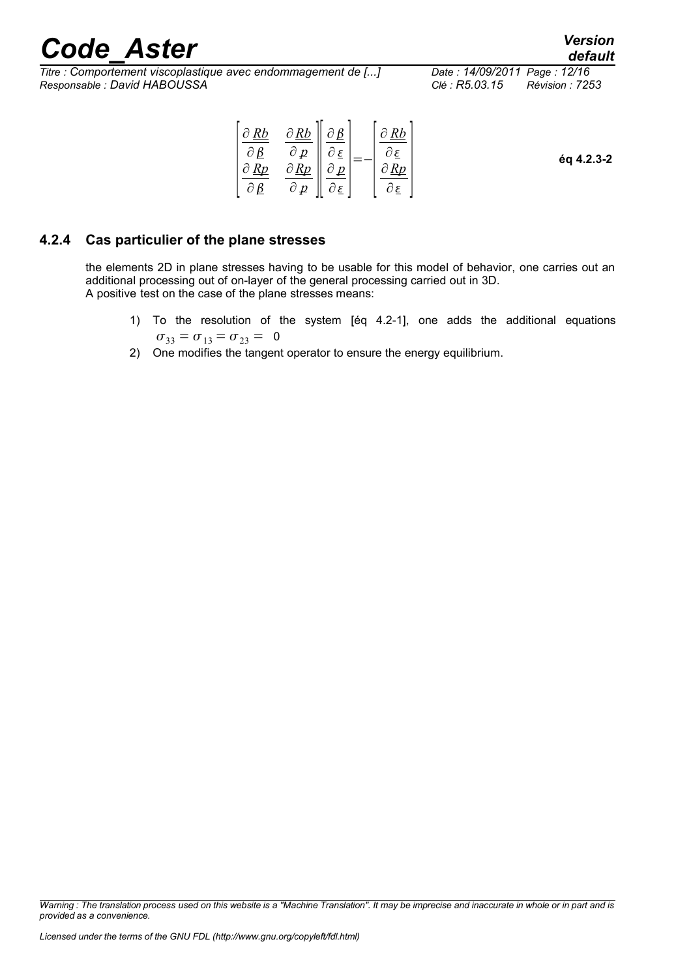*Titre : Comportement viscoplastique avec endommagement de [...] Date : 14/09/2011 Page : 12/16 Responsable : David HABOUSSA Clé : R5.03.15 Révision : 7253*

| $\partial p$<br>$\partial \mathcal{E}$<br>$\sim$<br>éq 4.2.3-2<br>$\partial$ Rp<br>Rn<br>$\sim$<br>Rn<br>n | $\partial Rb$ | $\partial Rb$ | $\triangle$ $\Omega$   | Rb |  |
|------------------------------------------------------------------------------------------------------------|---------------|---------------|------------------------|----|--|
|                                                                                                            |               |               |                        |    |  |
|                                                                                                            |               | $\partial p$  | $\partial \varepsilon$ |    |  |

#### **4.2.4 Cas particulier of the plane stresses**

<span id="page-11-0"></span>the elements 2D in plane stresses having to be usable for this model of behavior, one carries out an additional processing out of on-layer of the general processing carried out in 3D. A positive test on the case of the plane stresses means:

- 1) To the resolution of the system [éq 4.2-1], one adds the additional equations  $\sigma_{33} = \sigma_{13} = \sigma_{23} = 0$
- 2) One modifies the tangent operator to ensure the energy equilibrium.

*Warning : The translation process used on this website is a "Machine Translation". It may be imprecise and inaccurate in whole or in part and is provided as a convenience.*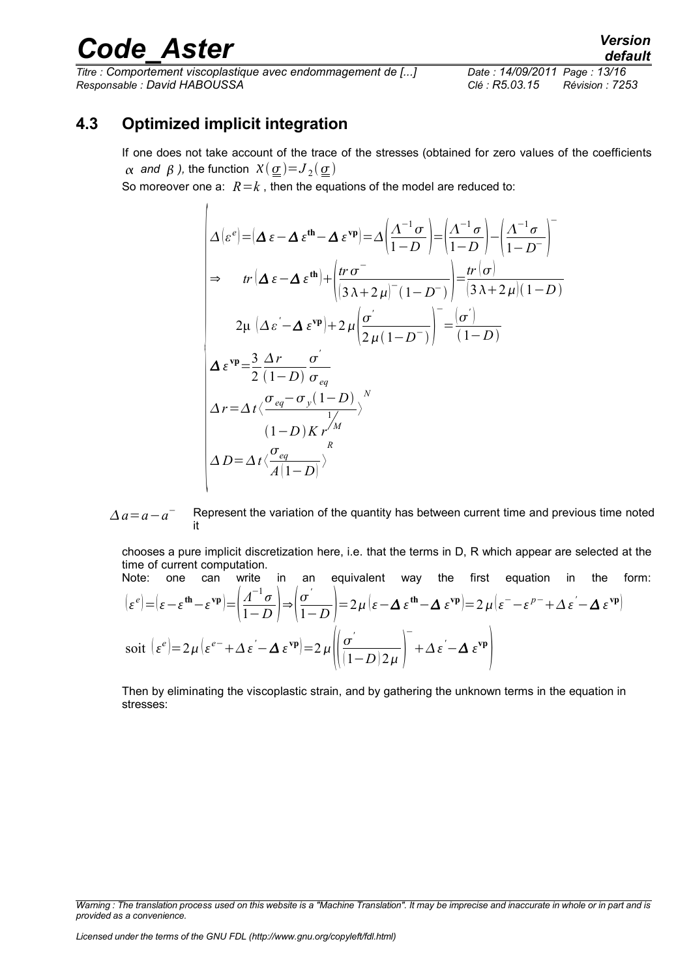*Titre : Comportement viscoplastique avec endommagement de [...] Date : 14/09/2011 Page : 13/16 Responsable : David HABOUSSA Clé : R5.03.15 Révision : 7253*

### *default*

#### **4.3 Optimized implicit integration**

 $\overline{1}$ 

<span id="page-12-0"></span>If one does not take account of the trace of the stresses (obtained for zero values of the coefficients  $\alpha$  *and*  $\beta$  *),* the function  $X(\underline{\sigma}){=}J_2(\underline{\sigma})$ 

So moreover one a:  $R = k$ , then the equations of the model are reduced to:

$$
\Delta \left[ \varepsilon^e \right] = \left( \Delta \varepsilon - \Delta \varepsilon^{\text{th}} - \Delta \varepsilon^{\text{vp}} \right) = \Delta \left( \frac{\Delta^{-1} \sigma}{1 - D} \right) = \left( \frac{\Delta^{-1} \sigma}{1 - D} \right) - \left( \frac{\Delta^{-1} \sigma}{1 - D} \right)^{-1}
$$
\n
$$
\Rightarrow \quad tr \left( \Delta \varepsilon - \Delta \varepsilon^{\text{th}} \right) + \left( \frac{tr \sigma^{-}}{\left( 3 \lambda + 2 \mu \right)^{-} \left( 1 - D^{-} \right)} \right) = \frac{tr \left( \sigma \right)}{\left( 3 \lambda + 2 \mu \right) \left( 1 - D \right)}
$$
\n
$$
2\mu \left( \Delta \varepsilon - \Delta \varepsilon^{\text{vp}} \right) + 2\mu \left( \frac{\sigma'}{2\mu \left( 1 - D^{-} \right)} \right) = \frac{\left( \sigma' \right)}{\left( 1 - D \right)}
$$
\n
$$
\Delta \varepsilon^{\text{vp}} = \frac{3}{2} \frac{\Delta r}{\left( 1 - D \right)} \frac{\sigma'}{\sigma_{eq}}
$$
\n
$$
\Delta r = \Delta t \left\langle \frac{\sigma_{eq} - \sigma_{y} \left( 1 - D \right)}{\sigma_{eq}} \right\rangle^N
$$
\n
$$
\Delta D = \Delta t \left\langle \frac{\sigma_{eq}}{\left( 1 - D \right)} \right\rangle
$$

 $\Delta a = a - a$ <sup>−</sup> Represent the variation of the quantity has between current time and previous time noted it

chooses a pure implicit discretization here, i.e. that the terms in D, R which appear are selected at the time of current computation.

Note: one can write in an equivalent way the first equation in the form:  
\n
$$
|\varepsilon^{e}| = |\varepsilon - \varepsilon^{th} - \varepsilon^{vp}| = \left(\frac{\Lambda^{-1} \sigma}{1 - D}\right) \Rightarrow \left(\frac{\sigma'}{1 - D}\right) = 2\mu |\varepsilon - \Delta \varepsilon^{th} - \Delta \varepsilon^{vp}| = 2\mu |\varepsilon^{-} - \varepsilon^{p-} + \Delta \varepsilon^{'} - \Delta \varepsilon^{vp}|
$$
\n
$$
\text{soit } \left(\varepsilon^{e}\right) = 2\mu |\varepsilon^{e-} + \Delta \varepsilon^{'} - \Delta \varepsilon^{vp}| = 2\mu \left(\left(\frac{\sigma'}{1 - D}\right) \frac{1}{2\mu}\right)^{-1} + \Delta \varepsilon^{'} - \Delta \varepsilon^{vp}\right)
$$

Then by eliminating the viscoplastic strain, and by gathering the unknown terms in the equation in stresses:

*Warning : The translation process used on this website is a "Machine Translation". It may be imprecise and inaccurate in whole or in part and is provided as a convenience.*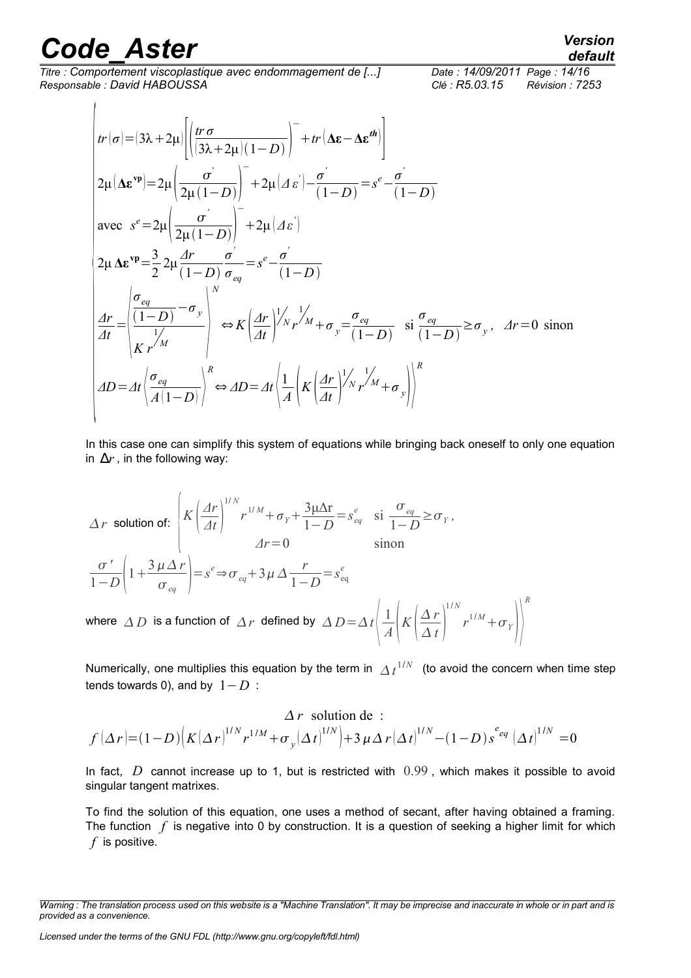$\overline{1}$ 

*Titre : Comportement viscoplastique avec endommagement de [...] Date : 14/09/2011 Page : 14/16 Responsable : David HABOUSSA Clé : R5.03.15 Révision : 7253*

*R*

$$
tr(\sigma) = (3\lambda + 2\mu) \left[ \left( \frac{tr \sigma}{(3\lambda + 2\mu)(1 - D)} \right)^{-} + tr(\Delta \varepsilon - \Delta \varepsilon^{th}) \right]
$$
  
\n
$$
2\mu (\Delta \varepsilon^{vp}) = 2\mu \left( \frac{\sigma}{2\mu(1 - D)} \right)^{-} + 2\mu (A \varepsilon') - \frac{\sigma'}{(1 - D)} = s^e - \frac{\sigma'}{(1 - D)}
$$
  
\navec  $s^e = 2\mu \left( \frac{\sigma'}{2\mu(1 - D)} \right)^{-} + 2\mu (A \varepsilon')$   
\n
$$
2\mu \Delta \varepsilon^{vp} = \frac{3}{2} 2\mu \frac{dr}{(1 - D)} \frac{\sigma'}{\sigma_{eq}} = s^e - \frac{\sigma'}{(1 - D)}
$$
  
\n
$$
\frac{dr}{dt} = \left| \frac{\sigma_{eq}}{\frac{(1 - D)}{K r^{/M}}} \right|_{\infty} \Leftrightarrow K \left( \frac{dr}{dt} \right)^{1/2} r^{1/2} + \sigma_y = \frac{\sigma_{eq}}{(1 - D)} \text{ si } \frac{\sigma_{eq}}{(1 - D)} \ge \sigma_y, \quad Ar = 0 \text{ sinon}
$$
  
\n
$$
AD = At \left( \frac{\sigma_{eq}}{A(1 - D)} \right)^R \Leftrightarrow AD = At \left( \frac{1}{A} \left( K \left( \frac{dr}{dt} \right)^{1/2} r^{1/2} + \sigma_y \right) \right)^R
$$

In this case one can simplify this system of equations while bringing back oneself to only one equation in  $\Delta r$ , in the following way:

$$
\Delta r \text{ solution of: } \begin{bmatrix} K \left( \frac{\Delta r}{\Delta t} \right)^{1/N} r^{1/M} + \sigma_Y + \frac{3\mu \Delta r}{1 - D} = s_{eq}^e & \text{si } \frac{\sigma_{eq}}{1 - D} \ge \sigma_Y, \\ 2r = 0 & \text{sinon} \end{bmatrix}
$$

$$
\frac{\sigma'}{1 - D} \left( 1 + \frac{3\mu \Delta r}{\sigma_{eq}} \right) = s^e \Rightarrow \sigma_{eq} + 3\mu \Delta \frac{r}{1 - D} = s_{eq}^e
$$

$$
\text{where } \Delta D \text{ is a function of } \Delta r \text{ defined by } \Delta D = \Delta t \left( \frac{1}{A} \left( K \left( \frac{\Delta r}{\Delta t} \right)^{1/N} r^{1/M} + \sigma_Y \right) \right)^R
$$

Numerically, one multiplies this equation by the term in  $\overline{\Delta t}^{1/N}$  (to avoid the concern when time step tends towards 0), and by  $1-D$  :

$$
\Delta r \text{ solution de :}
$$
  

$$
f(\Delta r) = (1 - D) \Big( K(\Delta r)^{1/N} r^{1/M} + \sigma_y (\Delta t)^{1/N} \Big) + 3 \mu \Delta r (\Delta t)^{1/N} - (1 - D) s^{eq} (\Delta t)^{1/N} = 0
$$

In fact, D cannot increase up to 1, but is restricted with 0.99, which makes it possible to avoid singular tangent matrixes.

To find the solution of this equation, one uses a method of secant, after having obtained a framing. The function  $f$  is negative into 0 by construction. It is a question of seeking a higher limit for which *f* is positive.

*default*

*Warning : The translation process used on this website is a "Machine Translation". It may be imprecise and inaccurate in whole or in part and is provided as a convenience.*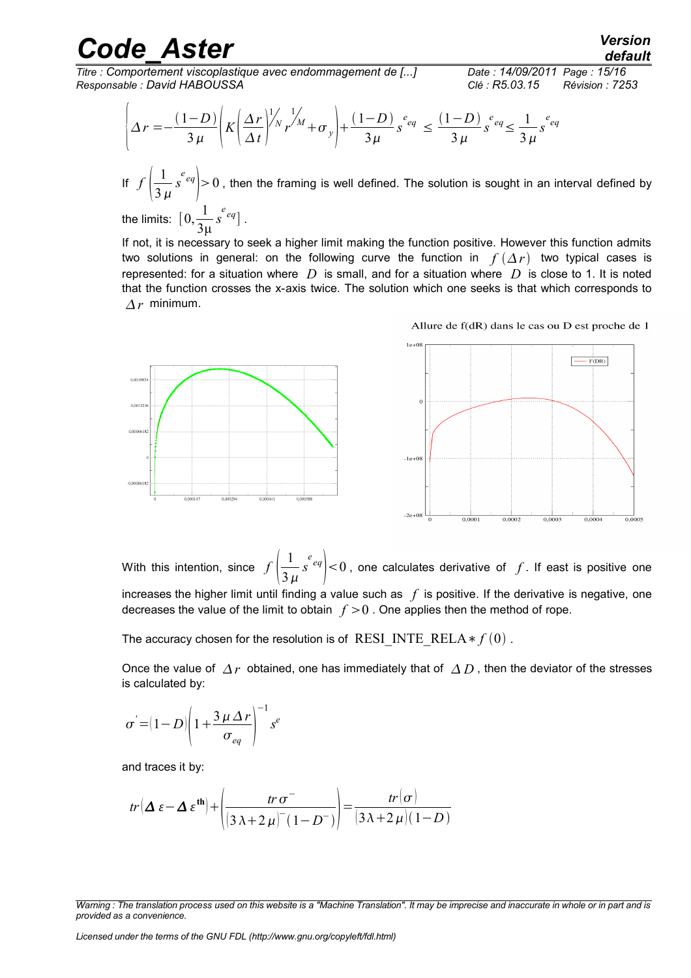*Titre : Comportement viscoplastique avec endommagement de [...] Date : 14/09/2011 Page : 15/16 Responsable : David HABOUSSA Clé : R5.03.15 Révision : 7253*

*default*

$$
\left\{\Delta r = -\frac{(1-D)}{3\mu} \left(K \left(\frac{\Delta r}{\Delta t}\right)^{1/\lambda} r^{1/\lambda} + \sigma_{y}\right) + \frac{(1-D)}{3\mu} s^{e_{eq}} \le \frac{(1-D)}{3\mu} s^{e_{eq}} \le \frac{1}{3\mu} s^{e_{eq}}
$$

If  $f\left(\frac{1}{3}\right)$  $3 \mu$  $\left| \frac{e}{e} e q \right| > 0$  , then the framing is well defined. The solution is sought in an interval defined by

the limits:  $\left[0, \frac{1}{2}\right]$ 3μ  $\left[ \begin{array}{c} e \\ s \end{array} \right]$ .

If not, it is necessary to seek a higher limit making the function positive. However this function admits two solutions in general: on the following curve the function in  $f(\Delta r)$  two typical cases is represented: for a situation where *D* is small, and for a situation where *D* is close to 1. It is noted that the function crosses the x-axis twice. The solution which one seeks is that which corresponds to  $Ar$  minimum.



Allure de f(dR) dans le cas ou D est proche de 1

With this intention, since  $f\left(\frac{1}{3}\right)$  $3\,\mu$  $\left| \int_{0}^{e_{eq}} \right| < 0$  , one calculates derivative of  $f$ . If east is positive one increases the higher limit until finding a value such as  $f$  is positive. If the derivative is negative, one decreases the value of the limit to obtain  $f > 0$ . One applies then the method of rope.

The accuracy chosen for the resolution is of RESI\_INTE\_RELA  $* f(0)$ .

Once the value of  $\Delta r$  obtained, one has immediately that of  $\Delta D$ , then the deviator of the stresses is calculated by:

$$
\sigma^{'}\!=\!\!(1\!-\!D)\! \left(1\!+\!\frac{3\,\mu\,\Delta\,r}{\sigma_{eq}}\right)^{\!-1} s^e
$$

and traces it by:

$$
tr(\Delta \varepsilon - \Delta \varepsilon^{\text{th}}) + \left(\frac{tr \sigma^{-}}{(3\lambda + 2\mu)^{-}(1 - D^{-})}\right) = \frac{tr(\sigma)}{(3\lambda + 2\mu)(1 - D)}
$$

*Licensed under the terms of the GNU FDL (http://www.gnu.org/copyleft/fdl.html)*

*Warning : The translation process used on this website is a "Machine Translation". It may be imprecise and inaccurate in whole or in part and is provided as a convenience.*